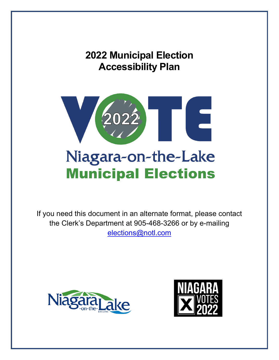# **2022 Municipal Election Accessibility Plan**



# Niagara-on-the-Lake **Municipal Elections**

If you need this document in an alternate format, please contact the Clerk's Department at 905-468-3266 or by e-mailing [elections@notl.com](mailto:ralph.walton@notl.com) 



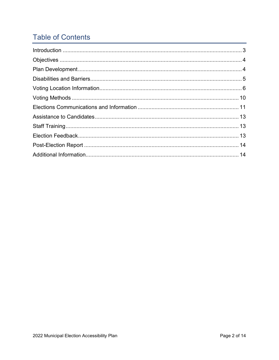# **Table of Contents**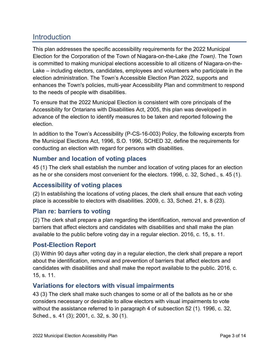# <span id="page-2-0"></span>**Introduction**

This plan addresses the specific accessibility requirements for the 2022 Municipal Election for the Corporation of the Town of Niagara-on-the-Lake *(the Town)*. The Town is committed to making municipal elections accessible to all citizens of Niagara-on-the-Lake – including electors, candidates, employees and volunteers who participate in the election administration. The Town's Accessible Election Plan 2022, supports and enhances the Town's policies, multi-year Accessibility Plan and commitment to respond to the needs of people with disabilities.

To ensure that the 2022 Municipal Election is consistent with core principals of the Accessibility for Ontarians with Disabilities Act, 2005, this plan was developed in advance of the election to identify measures to be taken and reported following the election.

In addition to the Town's Accessibility (P-CS-16-003) Policy, the following excerpts from the Municipal Elections Act, 1996, S.O. 1996, SCHED 32, define the requirements for conducting an election with regard for persons with disabilities.

### **Number and location of voting places**

45 (1) The clerk shall establish the number and location of voting places for an election as he or she considers most convenient for the electors. 1996, c. 32, Sched., s. 45 (1).

# **Accessibility of voting places**

(2) In establishing the locations of voting places, the clerk shall ensure that each voting place is accessible to electors with disabilities. 2009, c. 33, Sched. 21, s. 8 (23).

### **Plan re: barriers to voting**

(2) The clerk shall prepare a plan regarding the identification, removal and prevention of barriers that affect electors and candidates with disabilities and shall make the plan available to the public before voting day in a regular election. 2016, c. 15, s. 11.

# **Post-Election Report**

(3) Within 90 days after voting day in a regular election, the clerk shall prepare a report about the identification, removal and prevention of barriers that affect electors and candidates with disabilities and shall make the report available to the public. 2016, c. 15, s. 11.

# **Variations for electors with visual impairments**

43 (3) The clerk shall make such changes to some or all of the ballots as he or she considers necessary or desirable to allow electors with visual impairments to vote without the assistance referred to in paragraph 4 of subsection 52 (1). 1996, c. 32, Sched., s. 41 (3); 2001, c. 32, s. 30 (1).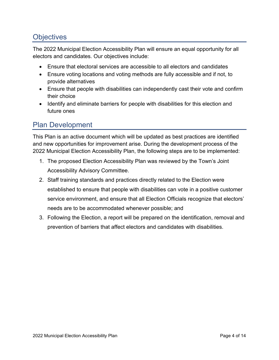# <span id="page-3-0"></span>**Objectives**

The 2022 Municipal Election Accessibility Plan will ensure an equal opportunity for all electors and candidates. Our objectives include:

- Ensure that electoral services are accessible to all electors and candidates
- Ensure voting locations and voting methods are fully accessible and if not, to provide alternatives
- Ensure that people with disabilities can independently cast their vote and confirm their choice
- Identify and eliminate barriers for people with disabilities for this election and future ones

# <span id="page-3-1"></span>Plan Development

This Plan is an active document which will be updated as best practices are identified and new opportunities for improvement arise. During the development process of the 2022 Municipal Election Accessibility Plan, the following steps are to be implemented:

- 1. The proposed Election Accessibility Plan was reviewed by the Town's Joint Accessibility Advisory Committee.
- 2. Staff training standards and practices directly related to the Election were established to ensure that people with disabilities can vote in a positive customer service environment, and ensure that all Election Officials recognize that electors' needs are to be accommodated whenever possible; and
- 3. Following the Election, a report will be prepared on the identification, removal and prevention of barriers that affect electors and candidates with disabilities.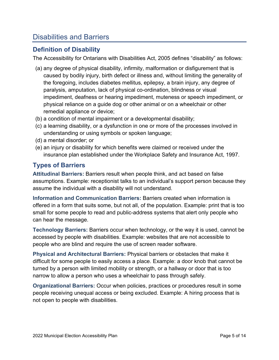# <span id="page-4-0"></span>Disabilities and Barriers

### **Definition of Disability**

The Accessibility for Ontarians with Disabilities Act, 2005 defines "disability" as follows:

- (a) any degree of physical disability, infirmity, malformation or disfigurement that is caused by bodily injury, birth defect or illness and, without limiting the generality of the foregoing, includes diabetes mellitus, epilepsy, a brain injury, any degree of paralysis, amputation, lack of physical co-ordination, blindness or visual impediment, deafness or hearing impediment, muteness or speech impediment, or physical reliance on a guide dog or other animal or on a wheelchair or other remedial appliance or device;
- (b) a condition of mental impairment or a developmental disability;
- (c) a learning disability, or a dysfunction in one or more of the processes involved in understanding or using symbols or spoken language;
- (d) a mental disorder; or
- (e) an injury or disability for which benefits were claimed or received under the insurance plan established under the Workplace Safety and Insurance Act, 1997.

# **Types of Barriers**

**Attitudinal Barriers:** Barriers result when people think, and act based on false assumptions. Example: receptionist talks to an individual's support person because they assume the individual with a disability will not understand.

**Information and Communication Barriers:** Barriers created when information is offered in a form that suits some, but not all, of the population. Example: print that is too small for some people to read and public-address systems that alert only people who can hear the message.

**Technology Barriers:** Barriers occur when technology, or the way it is used, cannot be accessed by people with disabilities. Example: websites that are not accessible to people who are blind and require the use of screen reader software.

**Physical and Architectural Barriers:** Physical barriers or obstacles that make it difficult for some people to easily access a place. Example: a door knob that cannot be turned by a person with limited mobility or strength, or a hallway or door that is too narrow to allow a person who uses a wheelchair to pass through safely.

**Organizational Barriers:** Occur when policies, practices or procedures result in some people receiving unequal access or being excluded. Example: A hiring process that is not open to people with disabilities.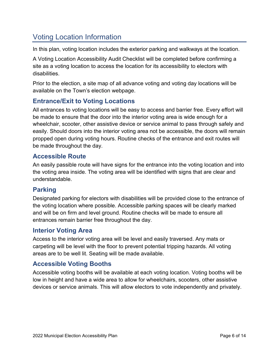# <span id="page-5-0"></span>Voting Location Information

In this plan, voting location includes the exterior parking and walkways at the location.

A Voting Location Accessibility Audit Checklist will be completed before confirming a site as a voting location to access the location for its accessibility to electors with disabilities.

Prior to the election, a site map of all advance voting and voting day locations will be available on the Town's election webpage.

# **Entrance/Exit to Voting Locations**

All entrances to voting locations will be easy to access and barrier free. Every effort will be made to ensure that the door into the interior voting area is wide enough for a wheelchair, scooter, other assistive device or service animal to pass through safely and easily. Should doors into the interior voting area not be accessible, the doors will remain propped open during voting hours. Routine checks of the entrance and exit routes will be made throughout the day.

### **Accessible Route**

An easily passible route will have signs for the entrance into the voting location and into the voting area inside. The voting area will be identified with signs that are clear and understandable.

# **Parking**

Designated parking for electors with disabilities will be provided close to the entrance of the voting location where possible. Accessible parking spaces will be clearly marked and will be on firm and level ground. Routine checks will be made to ensure all entrances remain barrier free throughout the day.

### **Interior Voting Area**

Access to the interior voting area will be level and easily traversed. Any mats or carpeting will be level with the floor to prevent potential tripping hazards. All voting areas are to be well lit. Seating will be made available.

# **Accessible Voting Booths**

Accessible voting booths will be available at each voting location. Voting booths will be low in height and have a wide area to allow for wheelchairs, scooters, other assistive devices or service animals. This will allow electors to vote independently and privately.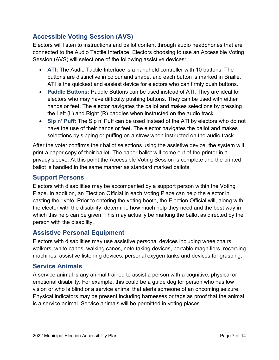# **Accessible Voting Session (AVS)**

Electors will listen to instructions and ballot content through audio headphones that are connected to the Audio Tactile Interface. Electors choosing to use an Accessible Voting Session (AVS) will select one of the following assistive devices:

- **ATI:** The Audio Tactile Interface is a handheld controller with 10 buttons. The buttons are distinctive in colour and shape, and each button is marked in Braille. ATI is the quickest and easiest device for electors who can firmly push buttons.
- **Paddle Buttons:** Paddle Buttons can be used instead of ATI. They are ideal for electors who may have difficulty pushing buttons. They can be used with either hands or feet. The elector navigates the ballot and makes selections by pressing the Left (L) and Right (R) paddles when instructed on the audio track.
- **Sip n' Puff:** The Sip n' Puff can be used instead of the ATI by electors who do not have the use of their hands or feet. The elector navigates the ballot and makes selections by sipping or puffing on a straw when instructed on the audio track.

After the voter confirms their ballot selections using the assistive device, the system will print a paper copy of their ballot. The paper ballot will come out of the printer in a privacy sleeve. At this point the Accessible Voting Session is complete and the printed ballot is handled in the same manner as standard marked ballots.

# **Support Persons**

Electors with disabilities may be accompanied by a support person within the Voting Place. In addition, an Election Official in each Voting Place can help the elector in casting their vote. Prior to entering the voting booth, the Election Official will, along with the elector with the disability, determine how much help they need and the best way in which this help can be given. This may actually be marking the ballot as directed by the person with the disability.

# **Assistive Personal Equipment**

Electors with disabilities may use assistive personal devices including wheelchairs, walkers, white canes, walking canes, note taking devices, portable magnifiers, recording machines, assistive listening devices, personal oxygen tanks and devices for grasping.

# **Service Animals**

A service animal is any animal trained to assist a person with a cognitive, physical or emotional disability. For example, this could be a guide dog for person who has low vision or who is blind or a service animal that alerts someone of an oncoming seizure. Physical indicators may be present including harnesses or tags as proof that the animal is a service animal. Service animals will be permitted in voting places.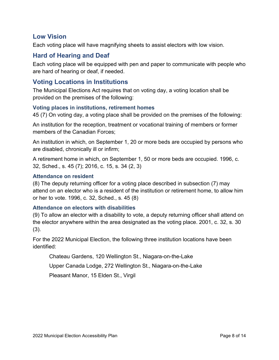### **Low Vision**

Each voting place will have magnifying sheets to assist electors with low vision.

# **Hard of Hearing and Deaf**

Each voting place will be equipped with pen and paper to communicate with people who are hard of hearing or deaf, if needed.

### **Voting Locations in Institutions**

The Municipal Elections Act requires that on voting day, a voting location shall be provided on the premises of the following:

#### **Voting places in institutions, retirement homes**

45 (7) On voting day, a voting place shall be provided on the premises of the following:

An institution for the reception, treatment or vocational training of members or former members of the Canadian Forces;

An institution in which, on September 1, 20 or more beds are occupied by persons who are disabled, chronically ill or infirm;

A retirement home in which, on September 1, 50 or more beds are occupied. 1996, c. 32, Sched., s. 45 (7); 2016, c. 15, s. 34 (2, 3)

#### **Attendance on resident**

(8) The deputy returning officer for a voting place described in subsection (7) may attend on an elector who is a resident of the institution or retirement home, to allow him or her to vote. 1996, c. 32, Sched., s. 45 (8)

#### **Attendance on electors with disabilities**

(9) To allow an elector with a disability to vote, a deputy returning officer shall attend on the elector anywhere within the area designated as the voting place. 2001, c. 32, s. 30 (3).

For the 2022 Municipal Election, the following three institution locations have been identified:

Chateau Gardens, 120 Wellington St., Niagara-on-the-Lake

Upper Canada Lodge, 272 Wellington St., Niagara-on-the-Lake

Pleasant Manor, 15 Elden St., Virgil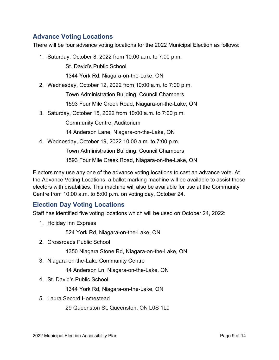# **Advance Voting Locations**

There will be four advance voting locations for the 2022 Municipal Election as follows:

1. Saturday, October 8, 2022 from 10:00 a.m. to 7:00 p.m.

St. David's Public School

1344 York Rd, Niagara-on-the-Lake, ON

2. Wednesday, October 12, 2022 from 10:00 a.m. to 7:00 p.m.

Town Administration Building, Council Chambers

1593 Four Mile Creek Road, Niagara-on-the-Lake, ON

3. Saturday, October 15, 2022 from 10:00 a.m. to 7:00 p.m.

Community Centre, Auditorium

14 Anderson Lane, Niagara-on-the-Lake, ON

4. Wednesday, October 19, 2022 10:00 a.m. to 7:00 p.m.

Town Administration Building, Council Chambers

1593 Four Mile Creek Road, Niagara-on-the-Lake, ON

Electors may use any one of the advance voting locations to cast an advance vote. At the Advance Voting Locations, a ballot marking machine will be available to assist those electors with disabilities. This machine will also be available for use at the Community Centre from 10:00 a.m. to 8:00 p.m. on voting day, October 24.

# **Election Day Voting Locations**

Staff has identified five voting locations which will be used on October 24, 2022:

1. Holiday Inn Express

524 York Rd, Niagara-on-the-Lake, ON

2. Crossroads Public School

1350 Niagara Stone Rd, Niagara-on-the-Lake, ON

3. Niagara-on-the-Lake Community Centre

14 Anderson Ln, Niagara-on-the-Lake, ON

4. St. David's Public School

1344 York Rd, Niagara-on-the-Lake, ON

5. Laura Secord Homestead

29 Queenston St, Queenston, ON L0S 1L0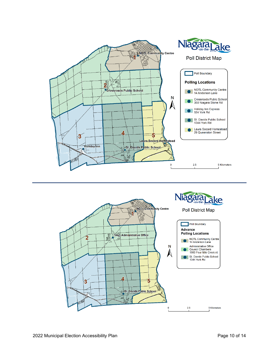<span id="page-9-0"></span>

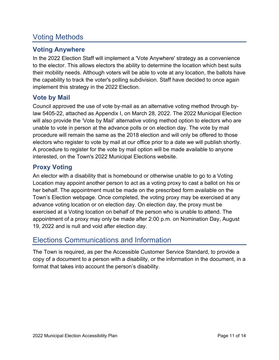# Voting Methods

# **Voting Anywhere**

In the 2022 Election Staff will implement a 'Vote Anywhere' strategy as a convenience to the elector. This allows electors the ability to determine the location which best suits their mobility needs. Although voters will be able to vote at any location, the ballots have the capability to track the voter's polling subdivision. Staff have decided to once again implement this strategy in the 2022 Election.

# **Vote by Mail**

Council approved the use of vote by-mail as an alternative voting method through bylaw 5405-22, attached as Appendix I, on March 28, 2022. The 2022 Municipal Election will also provide the 'Vote by Mail' alternative voting method option to electors who are unable to vote in person at the advance polls or on election day. The vote by mail procedure will remain the same as the 2018 election and will only be offered to those electors who register to vote by mail at our office prior to a date we will publish shortly. A procedure to register for the vote by mail option will be made available to anyone interested, on the Town's 2022 Municipal Elections website.

# **Proxy Voting**

An elector with a disability that is homebound or otherwise unable to go to a Voting Location may appoint another person to act as a voting proxy to cast a ballot on his or her behalf. The appointment must be made on the prescribed form available on the Town's Election webpage. Once completed, the voting proxy may be exercised at any advance voting location or on election day. On election day, the proxy must be exercised at a Voting location on behalf of the person who is unable to attend. The appointment of a proxy may only be made after 2:00 p.m. on Nomination Day, August 19, 2022 and is null and void after election day.

# <span id="page-10-0"></span>Elections Communications and Information

The Town is required, as per the Accessible Customer Service Standard, to provide a copy of a document to a person with a disability, or the information in the document, in a format that takes into account the person's disability.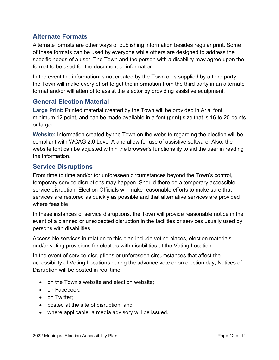# **Alternate Formats**

Alternate formats are other ways of publishing information besides regular print. Some of these formats can be used by everyone while others are designed to address the specific needs of a user. The Town and the person with a disability may agree upon the format to be used for the document or information.

In the event the information is not created by the Town or is supplied by a third party, the Town will make every effort to get the information from the third party in an alternate format and/or will attempt to assist the elector by providing assistive equipment.

# **General Election Material**

**Large Print:** Printed material created by the Town will be provided in Arial font, minimum 12 point, and can be made available in a font (print) size that is 16 to 20 points or larger.

**Website:** Information created by the Town on the website regarding the election will be compliant with WCAG 2.0 Level A and allow for use of assistive software. Also, the website font can be adjusted within the browser's functionality to aid the user in reading the information.

### **Service Disruptions**

From time to time and/or for unforeseen circumstances beyond the Town's control, temporary service disruptions may happen. Should there be a temporary accessible service disruption, Election Officials will make reasonable efforts to make sure that services are restored as quickly as possible and that alternative services are provided where feasible.

In these instances of service disruptions, the Town will provide reasonable notice in the event of a planned or unexpected disruption in the facilities or services usually used by persons with disabilities.

Accessible services in relation to this plan include voting places, election materials and/or voting provisions for electors with disabilities at the Voting Location.

In the event of service disruptions or unforeseen circumstances that affect the accessibility of Voting Locations during the advance vote or on election day, Notices of Disruption will be posted in real time:

- on the Town's website and election website;
- on Facebook:
- on Twitter;
- posted at the site of disruption; and
- where applicable, a media advisory will be issued.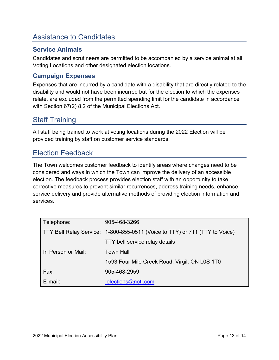# <span id="page-12-0"></span>Assistance to Candidates

# **Service Animals**

Candidates and scrutineers are permitted to be accompanied by a service animal at all Voting Locations and other designated election locations.

# **Campaign Expenses**

Expenses that are incurred by a candidate with a disability that are directly related to the disability and would not have been incurred but for the election to which the expenses relate, are excluded from the permitted spending limit for the candidate in accordance with Section 67(2) 8.2 of the Municipal Elections Act.

# <span id="page-12-1"></span>Staff Training

All staff being trained to work at voting locations during the 2022 Election will be provided training by staff on customer service standards.

# <span id="page-12-2"></span>Election Feedback

The Town welcomes customer feedback to identify areas where changes need to be considered and ways in which the Town can improve the delivery of an accessible election. The feedback process provides election staff with an opportunity to take corrective measures to prevent similar recurrences, address training needs, enhance service delivery and provide alternative methods of providing election information and services.

| Telephone:         | 905-468-3266                                                                |
|--------------------|-----------------------------------------------------------------------------|
|                    | TTY Bell Relay Service: 1-800-855-0511 (Voice to TTY) or 711 (TTY to Voice) |
|                    | TTY bell service relay details                                              |
| In Person or Mail: | <b>Town Hall</b>                                                            |
|                    | 1593 Four Mile Creek Road, Virgil, ON L0S 1T0                               |
| Fax:               | 905-468-2959                                                                |
| $E$ -mail:         | elections@notl.com                                                          |